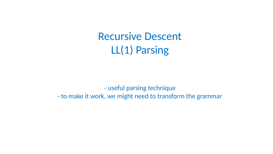# Recursive Descent LL(1) Parsing

- useful parsing technique - to make it work, we might need to transform the grammar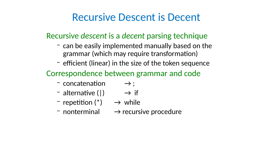- -
	-
	-
- -
	-
	-
	-

### Recursive Descent is Decent

grammar (which may require transformation) Correspondence between grammar and code  $\rightarrow$  concatenation  $\rightarrow$ ;  $-$  alternative (1)  $\rightarrow$  if  $-$  repetition  $(*) \rightarrow$  while  $\rightarrow$  nonterminal  $\rightarrow$  recursive procedure

- Recursive descent is a decent parsing technique – can be easily implemented manually based on the
	- efficient (linear) in the size of the token sequence
		-
		-
		-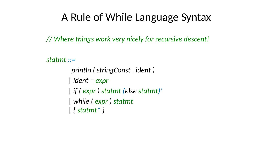# A Rule of While Language Syntax

// Where things work very nicely for recursive descent!



### statmt ::=

 println ( stringConst , ident ) | ident = expr | if ( expr ) statmt (else statmt)? | while ( expr ) statmt | { statmt\* }

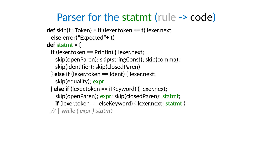$def start = {$ 

# Parser for the statmt (rule -> code)

- $def skip(t : Token) = if (lexertoken == t) lexern.$  else error("Expected"+ t)
	- if (lexer.token == Println) { lexer.next;
	- skip(openParen); skip(stringConst); skip(comma); skip(identifier); skip(closedParen)  $\}$  else if (lexer.token == Ident) { lexer.next; skip(equality); expr
	- } else if (lexer.token == ifKeyword) { lexer.next; skip(openParen); expr; skip(closedParen); statmt; if (lexer.token  $==$  elseKeyword) { lexer.next; statmt } // | while ( expr ) statmt

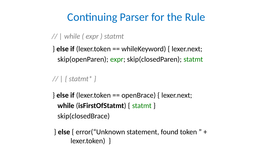## Continuing Parser for the Rule

### // | while ( expr ) statmt

### // | { statmt\* }

 $\}$  else if (lexer.token == whileKeyword) { lexer.next; skip(openParen); expr; skip(closedParen); statmt

- $}$  else if (lexer.token == openBrace) { lexer.next; while (isFirstOfStatmt) { statmt } skip(closedBrace)
- } else { error("Unknown statement, found token " + lexer.token) }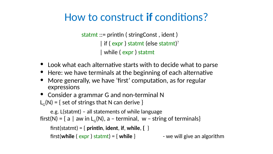statmt ::= println ( stringConst , ident ) | if ( expr ) statmt (else statmt)? | while ( expr ) statmt



- expressions
- 
- Look what each alternative starts with to decide what to parse • Here: we have terminals at the beginning of each alternative • More generally, we have 'first' computation, as for regular
- 
- Consider a grammar G and non-terminal N  $L_G(N) = \{$  set of strings that N can derive  $\}$
- e.g. L(statmt) all statements of while language first(N) = { a | aw in  $L_c(N)$ , a – terminal, w – string of terminals}
	- first(statmt) =  $\{$  println, ident, if, while,  $\{$   $\}$ first(while (  $expr$  ) statmt) = { while }  $-$  we will give an algorithm

## How to construct if conditions?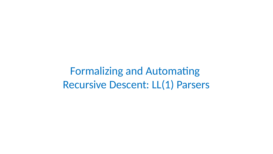Formalizing and Automating Recursive Descent: LL(1) Parsers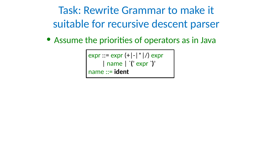# Task: Rewrite Grammar to make it suitable for recursive descent parser • Assume the priorities of operators as in Java

 $expr ::= expr (+|-| * | /) expr$  | name | `(' expr `)' name ::= ident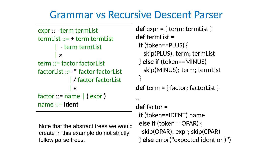### Grammar vs Recursive Descent Parser

expr ::= term termList | ε | ε name ::= ident

- $def expr = { term; termList }$ def termList =
	- if (token==PLUS) {
		-
	- skip(PLUS); term; termList } else if (token==MINUS) skip(MINUS); term; termList }
	- def term  $=$  { factor; factorList }
	- ... def factor = if (token==IDENT) name else if (token==OPAR) { skip(OPAR); expr; skip(CPAR)
		- } else error("expected ident or )")

- termList ::= + term termList | - term termList
- term ::= factor factorList factorList ::= \* factor factorList | / factor factorList
- factor ::= name | ( expr )
- Note that the abstract trees we would create in this example do not strictly

follow parse trees.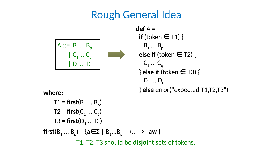

- - $T1 = first(B_1 ... B_p)$  $T2 = first(C_1 ... C_q)$  $T3 = first(D_1 ... D_r)$
	-
	-
- 

### Rough General Idea

def A = if (token  $\in$  T1) {  $B_1 \dots B_p$ else if (token  $\in$  T2) {  $C_1$  ...  $C_n$  $}$  else if (token  $\in$  T3) { D<sub>1</sub> ... D<sub>r</sub>

# $first(B<sub>1</sub> ... B<sub>p</sub>) = {a \in \Sigma \mid B<sub>1</sub> ... B<sub>p</sub> \implies ... \implies aw}$ T1, T2, T3 should be disjoint sets of tokens.

- 
- $A :: = B_1 ... B_p$  $\begin{matrix} \mathbf{C}_1 \dots \mathbf{C}_q \end{matrix}$ D<sub>1</sub> ... D<sub>r</sub>



} else error("expected T1,T2,T3") where: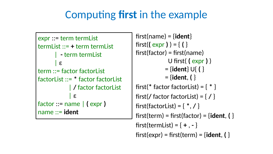# Computing first in the example

- termList ::= + term termList | - term termList
- term ::= factor factorList factorList ::= \* factor factorList | / factor factorList factor ::= name | ( expr )
- $first(name) = {ident}$ first((  $expr$  ) ) = {( }  $first(factor) = first(name)$  U first( ( expr ) )  $= \{ident\} \cup \{ \}$  $=$  {ident,  $\{\}$
- first(\* factor factorList) =  $\{ * \}$
- first(/ factor factorList) =  $\{ / \}$
- first(factorList) = { $*,$  / }
- $first(term) = first(factor) = {ident, ( }$
- $first(termList) = \{ + , \}$
- $first(exp) = first(term) = {ident, ( }$

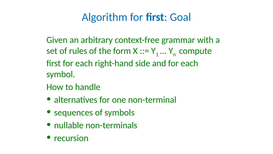## Algorithm for first: Goal

# Given an arbitrary context-free grammar with a set of rules of the form  $X ::= Y_1 ... Y_n$  compute

symbol.

- 
- first for each right-hand side and for each
- How to handle
- alternatives for one non-terminal
- sequences of symbols
- nullable non-terminals
- recursion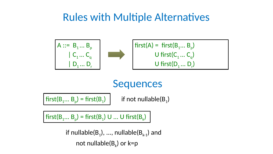## Rules with Multiple Alternatives

 $first(A) = first(B<sub>1</sub>... B<sub>p</sub>)$  $U$  first( $C_1 ... C_q$ )  $U$  first $(D_1 ... D_r)$ 





# $\text{first}(B_1... B_p) = \text{first}(B_1)$  if not nullable(B<sub>1</sub>)

 $\left|$  first(B<sub>1</sub>... B<sub>p</sub>) = first(B<sub>1</sub>) U ... U first(B<sub>k</sub>)  $\left|$ 

if nullable $(B_1), ...,$  nullable $(B_{k-1})$  and not nullable $(B_k)$  or  $k=p$ 

### Sequences

- 
- 
- 
- 



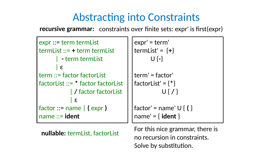### Abstracting into Constraints

- expr ::= term termList termList ::= + term termList | - term termList
- | ε term ::= factor factorList factorList ::= \* factor factorList

term' = factor' I factorList' =  $\{ * \}$ U { / }

' $factor' = name' \cup \{ \}$  $1$ name' = { ident }

- | / factor factorList
- | ε factor ::= name | ( expr )
	-

name ::= ident

expr' = term'  $termList' = \{+\}$ U {-}

nullable: termList, factorList For this nice grammar, there is no recursion in constraints. Solve by substitution.

recursive grammar: constraints over finite sets: expr' is first(expr)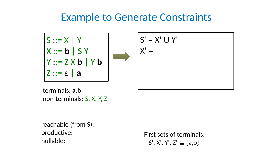### Example to Generate Constraints





### First sets of terminals:  $S', X', Y', Z' \subseteq \{a,b\}$







reachable (from S): productive: nullable:

terminals: a,b non-terminals: S, X, Y, Z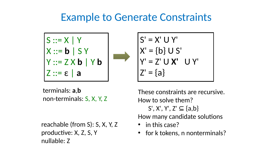### Example to Generate Constraints



### $S' = X' U Y'$  $X' = \{b\} \cup S'$  $Y' = Z' U X' U Y'$  $Z' = \{a\}$



reachable (from S): S, X, Y, Z productive: X, Z, S, Y nullable: Z

terminals: a,b non-terminals: S, X, Y, Z

These constraints are recursive. How to solve them?

- $S', X', Y', Z' \subseteq \{a,b\}$
- How many candidate solutions
- in this case?
- for k tokens, n nonterminals?

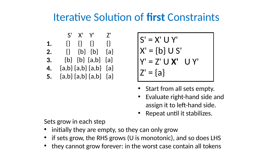Iterative Solution of first Constraints

### $S' = X' \cup Y'$  $X' = \{b\} \cup S'$  $Y' = Z' U X' U Y'$  $Z' = \{a\}$

### Sets grow in each step • initially they are empty, so they can only grow • if sets grow, the RHS grows (U is monotonic), and so does LHS • they cannot grow forever: in the worst case contain all tokens

 S' X' Y' Z' {} {} {} {} 1. {} {b} {b} {a} 2. {b} {b} {a,b} {a}  ${a,b}$   ${a,b}$   ${a,b}$   ${a,b}$   ${a}$ {a,b} {a,b} {a,b} {a} 5.

- Start from all sets empty. • Evaluate right-hand side and assign it to left-hand side. • Repeat until it stabilizes.
- 

- 
- 
- -
- 
- 
- 
- -
	-
	-
	-
	-
	- -
	-
	-
	-
	-
	-
	-
	-
	-
	-
	- -
	-
	-
	-
- -
- 
- 
- 
- -

3.

4.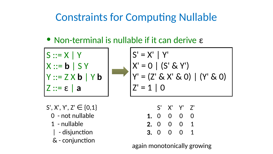### • Non-terminal is nullable if it can derive  $ε$

# Constraints for Computing Nullable



 $S', X', Y', Z' \in \{0, 1\}$  0 - not nullable | - disjunction & - conjunction

- $|S' = X' | Y'$  $X' = 0 | (S' \& Y')$  $Y' = (Z' \& X' \& 0)$  | (Y' & 0)  $Z' = 10$ 
	- S' X' Y' Z' 0 0 0 0 1. 0 0 0 1 2. 0 0 0 1 3.

1 - nullable

again monotonically growing





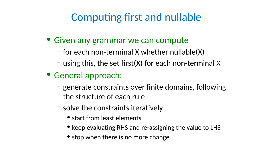## Computing first and nullable

- Given any grammar we can compute – for each non-terminal X whether nullable(X)  $-$  using this, the set first(X) for each non-terminal X
	-
- General approach:
	- generate constraints over finite domains, following the structure of each rule
	- solve the constraints iteratively
		- start from least elements
		- keep evaluating RHS and re-assigning the value to LHS
		- stop when there is no more change
-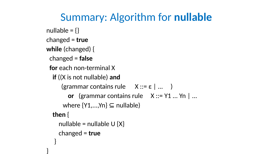# Summary: Algorithm for nullable



 $nullable = \{\}$ changed = true while (changed) { changed = false for each non-terminal X if ((X is not nullable) and (grammar contains rule X ::= ε | ... ) or (grammar contains rule  $X ::= Y1... Yn$  ... where  $\{Y1,...,Yn\} \subseteq \text{nullable}$  then { nullable = nullable  $U\{X\}$  changed = true }

}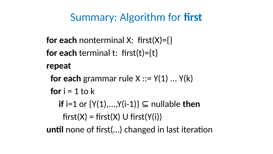## Summary: Algorithm for first

repeat

- for each nonterminal X:  $first(X)=\{\}$ for each terminal t:  $first(t)=\{t\}$ 
	- for each grammar rule  $X ::= Y(1) ... Y(k)$
	- for  $i = 1$  to  $k$ 
		- if  $i=1$  or  $\{Y(1),...,Y(i-1)\}\subseteq$  nullable then
- $first(X) = first(X) \cup first(Y(i))$ until none of first(…) changed in last iteration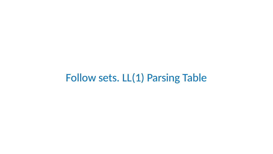Follow sets. LL(1) Parsing Table

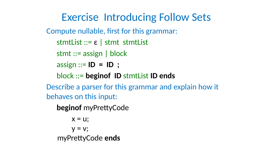Exercise Introducing Follow Sets

- Compute nullable, first for this grammar:
	- stmtList ::= ε | stmt stmtList
	- stmt ::= assign | block
	- $\text{assign} ::= \text{ID} = \text{ID}$ ;
	- block ::= beginof ID stmtList ID ends
- behaves on this input:
	- beginof myPrettyCode
		- $X = U$ ;
		- $y = v$ ;
	- myPrettyCode ends

# Describe a parser for this grammar and explain how it

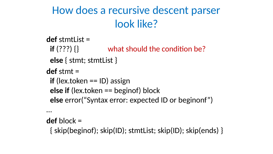# How does a recursive descent parser look like?

- def stmtList =
	- else { stmt; stmtList }
	- if (lex.token  $==$  ID) assign
	- else if (lex.token == beginof) block else error("Syntax error: expected ID or beginonf")

### if  $(???)$   $\{$  what should the condition be?





- def stmt = …
- def block = { skip(beginof); skip(ID); stmtList; skip(ID); skip(ends) }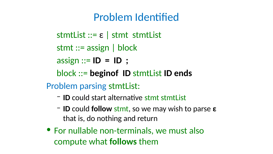### Problem Identified

- $stmtList ::= \varepsilon \mid stemt List$
- stmt ::= assign | block
- assign  $::= ID = ID$ ;
- block ::= beginof ID stmtList ID ends
- Problem parsing stmtList:
	- ID could start alternative stmt stmtList
	- $-$  ID could follow stmt, so we may wish to parse  $ε$ that is, do nothing and return
		-
- For nullable non-terminals, we must also compute what follows them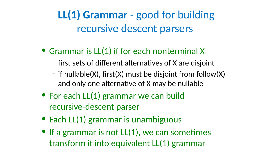LL(1) Grammar - good for building recursive descent parsers





• Grammar is LL(1) if for each nonterminal X – first sets of different alternatives of X are disjoint  $-$  if nullable(X), first(X) must be disjoint from follow(X) and only one alternative of X may be nullable • For each LL(1) grammar we can build recursive-descent parser • Each LL(1) grammar is unambiguous • If a grammar is not LL(1), we can sometimes transform it into equivalent LL(1) grammar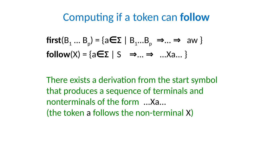# Computing if a token can follow

 $first(B<sub>1</sub> ... B<sub>p</sub>) = {a \in \Sigma | B<sub>1</sub> ... B<sub>p</sub> \implies ... \implies aw}$  $follow(X) = \{a \in \Sigma \mid S \implies ... \implies ... Xa... \}$ 





There exists a derivation from the start symbol that produces a sequence of terminals and nonterminals of the form ...Xa... (the token a follows the non-terminal X)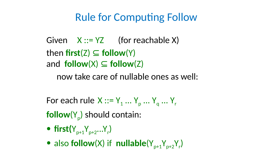# Rule for Computing Follow Given  $X ::= YZ$  (for reachable X) then first( $Z \subseteq$  follow(Y) and follow(X)  $\subseteq$  follow(Z) now take care of nullable ones as well:

### For each rule  $X ::= Y_1 ... Y_p ... Y_q ... Y_r$  $follow(Y<sub>n</sub>)$  should contain: • first( $Y_{p+1}Y_{p+2}...Y_r$ )

• also follow(X) if nullable( $Y_{p+1}Y_{p+2}Y_r$ 

)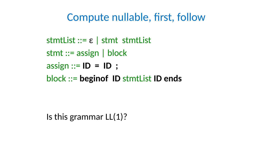## Compute nullable, first, follow

### stmtList ::= ε | stmt stmtList stmt ::= assign | block

### $assign ::= ID = ID$ ;

### block ::= beginof ID stmtList ID ends

### Is this grammar LL(1)?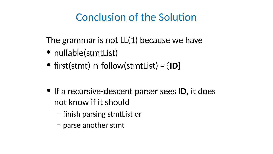### Conclusion of the Solution

The grammar is not LL(1) because we have • nullable(stmtList) • first(stmt) ∩ follow(stmtList) =  ${ID}$ 

• If a recursive-descent parser sees ID, it does not know if it should – finish parsing stmtList or – parse another stmt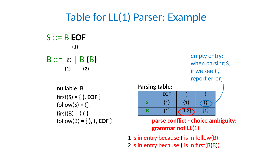# Table for LL(1) Parser: Example

S ::= B EOF (1)  $(1)$   $(2)$ 

- $B ::= \varepsilon | B(B)$ 
	- nullable: B  $first(S) = \{ (, EOF )\}$  $follow(S) = \{\}$  $first(B) = \{ ( \}$  $follow(B) = \{$ ),  $($ , EOF  $\}$

| EOF     |         |         |
|---------|---------|---------|
| $\{1\}$ | $\{1\}$ |         |
| $\{1\}$ | (1, 2)  | $\{1\}$ |

### Parsing table:

### parse conflict - choice ambiguity:



### grammar not LL(1)

empty entry: when parsing S, if we see ) , report error

### 1 is in entry because ( is in follow(B) 2 is in entry because ( is in first(B(B))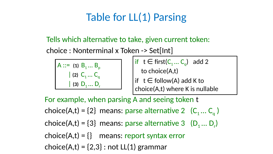# Table for LL(1) Parsing

- $A ::= (1) B_1 ... B_p$  $| (2) C_1 ... C_q$  | (3) D1 ... Dr  $if$   $t \in \text{first}(C_1... C_q)$  add 2 to choice(A,t)  $\int$  if  $t \in$  follow(A) add K to choice(A,t) where K is nullable
- For example, when parsing A and seeing token t
- choice(A,t) = {2} means: parse alternative 2  $(C_1 ... C_n)$
- choice(A,t) = {3} means: parse alternative 3 ( $D_1...D_r$ )
- choice $(A,t) = \{\}$  means: report syntax error
- choice(A,t) =  $\{2,3\}$ : not LL(1) grammar

### Tells which alternative to take, given current token: choice : Nonterminal x Token -> Set[Int]